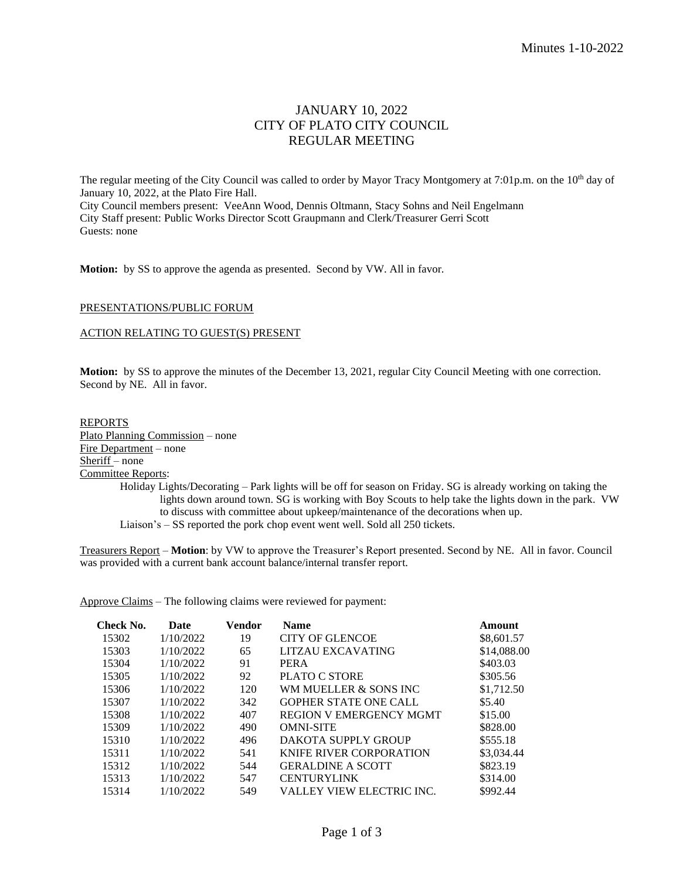# JANUARY 10, 2022 CITY OF PLATO CITY COUNCIL REGULAR MEETING

The regular meeting of the City Council was called to order by Mayor Tracy Montgomery at 7:01p.m. on the 10<sup>th</sup> day of January 10, 2022, at the Plato Fire Hall. City Council members present: VeeAnn Wood, Dennis Oltmann, Stacy Sohns and Neil Engelmann City Staff present: Public Works Director Scott Graupmann and Clerk/Treasurer Gerri Scott Guests: none

**Motion:** by SS to approve the agenda as presented. Second by VW. All in favor.

# PRESENTATIONS/PUBLIC FORUM

#### ACTION RELATING TO GUEST(S) PRESENT

**Motion:** by SS to approve the minutes of the December 13, 2021, regular City Council Meeting with one correction. Second by NE. All in favor.

#### REPORTS

Plato Planning Commission – none Fire Department – none Sheriff – none Committee Reports:

Holiday Lights/Decorating – Park lights will be off for season on Friday. SG is already working on taking the lights down around town. SG is working with Boy Scouts to help take the lights down in the park. VW to discuss with committee about upkeep/maintenance of the decorations when up. Liaison's – SS reported the pork chop event went well. Sold all 250 tickets.

Treasurers Report – **Motion**: by VW to approve the Treasurer's Report presented. Second by NE. All in favor. Council was provided with a current bank account balance/internal transfer report.

Approve Claims – The following claims were reviewed for payment:

| Check No. | Date      | Vendor | <b>Name</b>                    | Amount      |
|-----------|-----------|--------|--------------------------------|-------------|
| 15302     | 1/10/2022 | 19     | <b>CITY OF GLENCOE</b>         | \$8,601.57  |
| 15303     | 1/10/2022 | 65     | LITZAU EXCAVATING              | \$14,088.00 |
| 15304     | 1/10/2022 | 91     | <b>PERA</b>                    | \$403.03    |
| 15305     | 1/10/2022 | 92     | <b>PLATO C STORE</b>           | \$305.56    |
| 15306     | 1/10/2022 | 120    | WM MUELLER & SONS INC.         | \$1,712.50  |
| 15307     | 1/10/2022 | 342    | <b>GOPHER STATE ONE CALL</b>   | \$5.40      |
| 15308     | 1/10/2022 | 407    | <b>REGION V EMERGENCY MGMT</b> | \$15.00     |
| 15309     | 1/10/2022 | 490    | <b>OMNI-SITE</b>               | \$828.00    |
| 15310     | 1/10/2022 | 496    | DAKOTA SUPPLY GROUP            | \$555.18    |
| 15311     | 1/10/2022 | 541    | <b>KNIFE RIVER CORPORATION</b> | \$3,034.44  |
| 15312     | 1/10/2022 | 544    | <b>GERALDINE A SCOTT</b>       | \$823.19    |
| 15313     | 1/10/2022 | 547    | <b>CENTURYLINK</b>             | \$314.00    |
| 15314     | 1/10/2022 | 549    | VALLEY VIEW ELECTRIC INC.      | \$992.44    |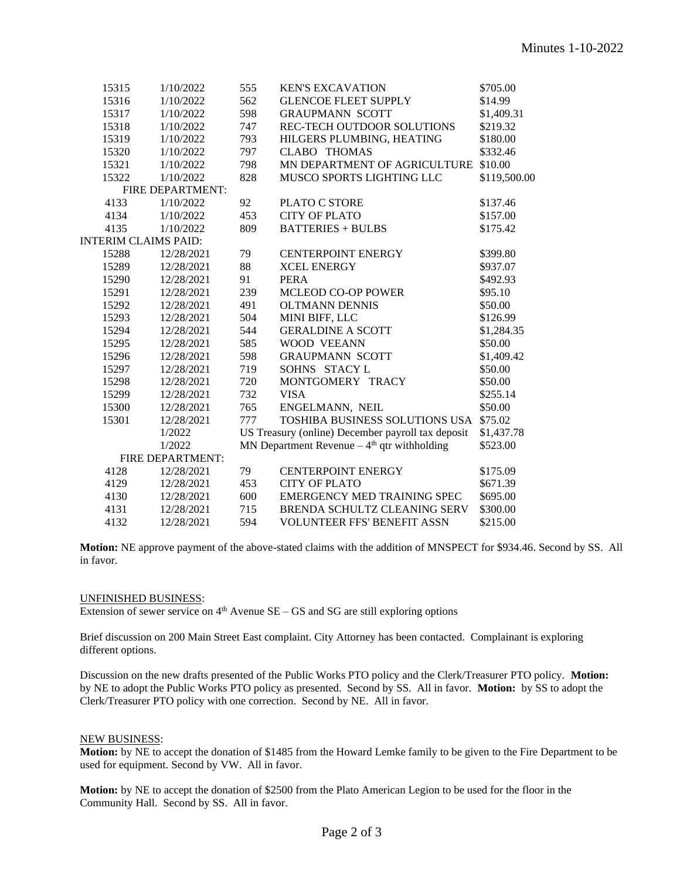| 15315            | 1/10/2022                   | 555 | <b>KEN'S EXCAVATION</b>                           | \$705.00     |  |  |
|------------------|-----------------------------|-----|---------------------------------------------------|--------------|--|--|
| 15316            | 1/10/2022                   | 562 | <b>GLENCOE FLEET SUPPLY</b>                       | \$14.99      |  |  |
| 15317            | 1/10/2022                   | 598 | <b>GRAUPMANN SCOTT</b>                            | \$1,409.31   |  |  |
| 15318            | 1/10/2022                   | 747 | REC-TECH OUTDOOR SOLUTIONS                        | \$219.32     |  |  |
| 15319            | 1/10/2022                   | 793 | HILGERS PLUMBING, HEATING                         | \$180.00     |  |  |
| 15320            | 1/10/2022                   | 797 | <b>CLABO THOMAS</b>                               | \$332.46     |  |  |
| 15321            | 1/10/2022                   | 798 | MN DEPARTMENT OF AGRICULTURE \$10.00              |              |  |  |
| 15322            | 1/10/2022                   | 828 | MUSCO SPORTS LIGHTING LLC                         | \$119,500.00 |  |  |
| FIRE DEPARTMENT: |                             |     |                                                   |              |  |  |
| 4133             | 1/10/2022                   | 92  | PLATO C STORE                                     | \$137.46     |  |  |
| 4134             | 1/10/2022                   | 453 | <b>CITY OF PLATO</b>                              | \$157.00     |  |  |
| 4135             | 1/10/2022                   | 809 | <b>BATTERIES + BULBS</b>                          | \$175.42     |  |  |
|                  | <b>INTERIM CLAIMS PAID:</b> |     |                                                   |              |  |  |
| 15288            | 12/28/2021                  | 79  | <b>CENTERPOINT ENERGY</b>                         | \$399.80     |  |  |
| 15289            | 12/28/2021                  | 88  | <b>XCEL ENERGY</b>                                | \$937.07     |  |  |
| 15290            | 12/28/2021                  | 91  | <b>PERA</b>                                       | \$492.93     |  |  |
| 15291            | 12/28/2021                  | 239 | <b>MCLEOD CO-OP POWER</b>                         | \$95.10      |  |  |
| 15292            | 12/28/2021                  | 491 | <b>OLTMANN DENNIS</b>                             | \$50.00      |  |  |
| 15293            | 12/28/2021                  | 504 | MINI BIFF, LLC                                    | \$126.99     |  |  |
| 15294            | 12/28/2021                  | 544 | <b>GERALDINE A SCOTT</b>                          | \$1,284.35   |  |  |
| 15295            | 12/28/2021                  | 585 | WOOD VEEANN                                       | \$50.00      |  |  |
| 15296            | 12/28/2021                  | 598 | <b>GRAUPMANN SCOTT</b>                            | \$1,409.42   |  |  |
| 15297            | 12/28/2021                  | 719 | SOHNS STACY L                                     | \$50.00      |  |  |
| 15298            | 12/28/2021                  | 720 | MONTGOMERY TRACY                                  | \$50.00      |  |  |
| 15299            | 12/28/2021                  | 732 | <b>VISA</b>                                       | \$255.14     |  |  |
| 15300            | 12/28/2021                  | 765 | ENGELMANN, NEIL                                   | \$50.00      |  |  |
| 15301            | 12/28/2021                  | 777 | TOSHIBA BUSINESS SOLUTIONS USA \$75.02            |              |  |  |
|                  | 1/2022                      |     | US Treasury (online) December payroll tax deposit | \$1,437.78   |  |  |
|                  | 1/2022                      |     | MN Department Revenue $-4th$ qtr withholding      | \$523.00     |  |  |
| FIRE DEPARTMENT: |                             |     |                                                   |              |  |  |
| 4128             | 12/28/2021                  | 79  | <b>CENTERPOINT ENERGY</b>                         | \$175.09     |  |  |
| 4129             | 12/28/2021                  | 453 | <b>CITY OF PLATO</b>                              | \$671.39     |  |  |
| 4130             | 12/28/2021                  | 600 | <b>EMERGENCY MED TRAINING SPEC</b>                | \$695.00     |  |  |
| 4131             | 12/28/2021                  | 715 | BRENDA SCHULTZ CLEANING SERV                      | \$300.00     |  |  |
| 4132             | 12/28/2021                  | 594 | <b>VOLUNTEER FFS' BENEFIT ASSN</b>                | \$215.00     |  |  |

**Motion:** NE approve payment of the above-stated claims with the addition of MNSPECT for \$934.46. Second by SS. All in favor.

#### UNFINISHED BUSINESS:

Extension of sewer service on  $4<sup>th</sup>$  Avenue SE – GS and SG are still exploring options

Brief discussion on 200 Main Street East complaint. City Attorney has been contacted. Complainant is exploring different options.

Discussion on the new drafts presented of the Public Works PTO policy and the Clerk/Treasurer PTO policy. **Motion:** by NE to adopt the Public Works PTO policy as presented. Second by SS. All in favor. **Motion:** by SS to adopt the Clerk/Treasurer PTO policy with one correction. Second by NE. All in favor.

# NEW BUSINESS:

**Motion:** by NE to accept the donation of \$1485 from the Howard Lemke family to be given to the Fire Department to be used for equipment. Second by VW. All in favor.

**Motion:** by NE to accept the donation of \$2500 from the Plato American Legion to be used for the floor in the Community Hall. Second by SS. All in favor.